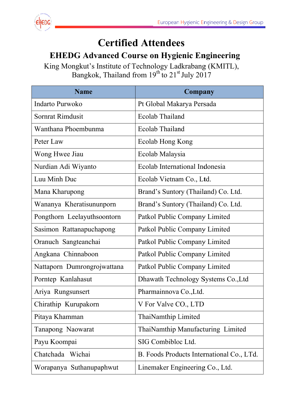

## **Certified Attendees**

## **EHEDG** Advanced Course on Hygienic Engineering

Ki ing Mong B gkut's In angkok, nstitute of Thailand f Techno d from 19 ology Lad  $9<sup>th</sup>$  to  $21<sup>s</sup>$ dkrabang  $\mathrm{t}$  July 201 g (KMIT 17 L),

| <b>Name</b>                 | Company                                   |
|-----------------------------|-------------------------------------------|
| Indarto Purwoko             | Pt Global Makarya Persada                 |
| Sornrat Rimdusit            | <b>Ecolab Thailand</b>                    |
| Wanthana Phoembunma         | Ecolab Thailand                           |
| Peter Law                   | Ecolab Hong Kong                          |
| Wong Hwee Jiau              | Ecolab Malaysia                           |
| Nurdian Adi Wiyanto         | Ecolab International Indonesia            |
| Luu Minh Duc                | Ecolab Vietnam Co., Ltd.                  |
| Mana Kharupong              | Brand's Suntory (Thailand) Co. Ltd.       |
| Wananya Kheratisununporn    | Brand's Suntory (Thailand) Co. Ltd.       |
| Pongthorn Leelayuthsoontorn | Patkol Public Company Limited             |
| Sasimon Rattanapuchapong    | Patkol Public Company Limited             |
| Oranuch Sangteanchai        | Patkol Public Company Limited             |
| Angkana Chinnaboon          | Patkol Public Company Limited             |
| Nattaporn Dumrongrojwattana | Patkol Public Company Limited             |
| Porntep Kanlahasut          | Dhawath Technology Systems Co., Ltd       |
| Ariya Rungsunsert           | Pharmainnova Co., Ltd.                    |
| Chirathip Kurupakorn        | V For Valve CO., LTD                      |
| Pitaya Khamman              | ThaiNamthip Limited                       |
| Tanapong Naowarat           | ThaiNamthip Manufacturing Limited         |
| Payu Koompai                | SIG Combibloc Ltd.                        |
| Chatchada Wichai            | B. Foods Products International Co., LTd. |
| Worapanya Suthanupaphwut    | Linemaker Engineering Co., Ltd.           |